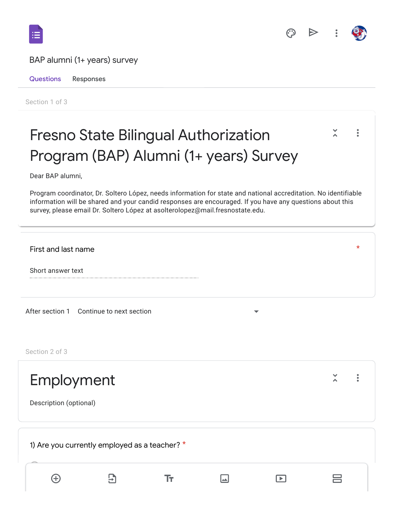



\*

## BAP alumni (1+ years) survey

Questions Responses

Section 1 of 3

## Fresno State Bilingual Authorization  $\tilde{\lambda}$  $\ddot{\cdot}$ Program (BAP) Alumni (1+ years) Survey

Dear BAP alumni,

Program coordinator, Dr. Soltero López, needs information for state and national accreditation. No identifiable information will be shared and your candid responses are encouraged. If you have any questions about this survey, please email Dr. Soltero López at asolterolopez@mail.fresnostate.edu.

First and last name

Short answer text

After section 1 Continue to next section

Section 2 of 3

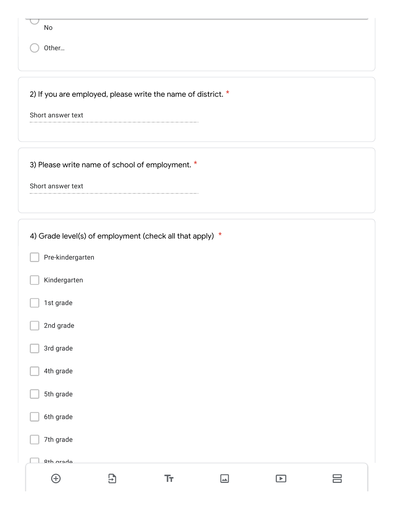| No<br>Other                                      |                                                                |     |        |                |   |
|--------------------------------------------------|----------------------------------------------------------------|-----|--------|----------------|---|
| Short answer text                                | 2) If you are employed, please write the name of district. $*$ |     |        |                |   |
| Short answer text                                | 3) Please write name of school of employment. *                |     |        |                |   |
| Pre-kindergarten<br>Kindergarten                 | 4) Grade level(s) of employment (check all that apply) *       |     |        |                |   |
| 1st grade<br>2nd grade<br>3rd grade<br>4th grade |                                                                |     |        |                |   |
| 5th grade<br>6th grade<br>7th grade              |                                                                |     |        |                |   |
| <b>Qth</b> arada<br>$\bigoplus$                  | $\overline{E}$                                                 | Tт, | $\Box$ | $\blacksquare$ | 吕 |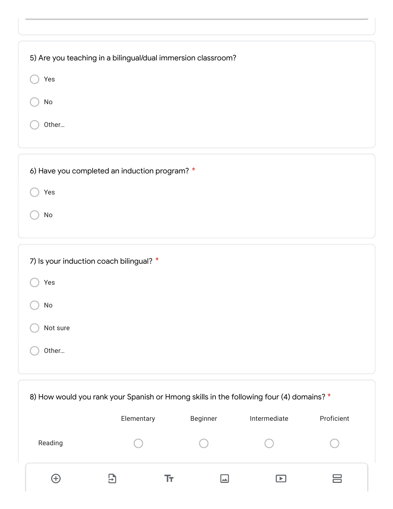| 5) Are you teaching in a bilingual/dual immersion classroom? |  |
|--------------------------------------------------------------|--|
| Yes                                                          |  |
| No                                                           |  |
| Other                                                        |  |
|                                                              |  |

| 6) Have you completed an induction program? * |  |
|-----------------------------------------------|--|
| Yes                                           |  |
| No                                            |  |
|                                               |  |

| 7) Is your induction coach bilingual? * |  |
|-----------------------------------------|--|
| Yes                                     |  |
| No                                      |  |
| Not sure                                |  |
| Other                                   |  |

| 8) How would you rank your Spanish or Hmong skills in the following four (4) domains? * |            |    |                 |              |            |  |  |  |
|-----------------------------------------------------------------------------------------|------------|----|-----------------|--------------|------------|--|--|--|
|                                                                                         | Elementary |    | <b>Beginner</b> | Intermediate | Proficient |  |  |  |
| Reading                                                                                 |            |    |                 |              |            |  |  |  |
| ۱Ψ,                                                                                     | ₩          | Iτ |                 |              | __         |  |  |  |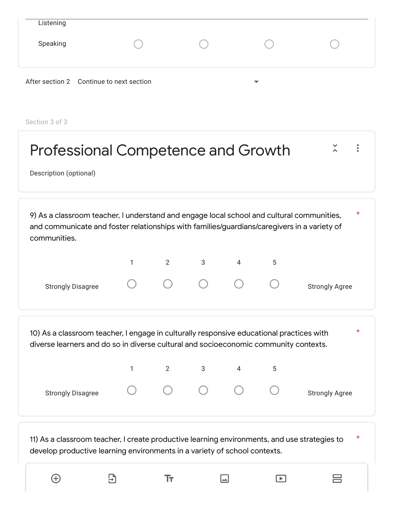| Listening |                                          |   |  |
|-----------|------------------------------------------|---|--|
| Speaking  |                                          |   |  |
|           | After section 2 Continue to next section | ▼ |  |

Section 3 of 3

| <b>Professional Competence and Growth</b><br>Description (optional)                                                                                                                                                  |   |                |   |   |   |                       |  |  |
|----------------------------------------------------------------------------------------------------------------------------------------------------------------------------------------------------------------------|---|----------------|---|---|---|-----------------------|--|--|
| $^\star$<br>9) As a classroom teacher, I understand and engage local school and cultural communities,<br>and communicate and foster relationships with families/guardians/caregivers in a variety of<br>communities. |   |                |   |   |   |                       |  |  |
|                                                                                                                                                                                                                      | 1 | $\overline{2}$ | 3 | 4 | 5 |                       |  |  |
| <b>Strongly Disagree</b>                                                                                                                                                                                             |   |                |   |   |   | <b>Strongly Agree</b> |  |  |
| 10) As a classroom teacher, I engage in culturally responsive educational practices with<br>diverse learners and do so in diverse cultural and socioeconomic community contexts.                                     |   |                |   |   |   | $^\star$              |  |  |
|                                                                                                                                                                                                                      | 1 | $\overline{2}$ | 3 | 4 | 5 |                       |  |  |
| <b>Strongly Disagree</b>                                                                                                                                                                                             |   |                |   |   |   | <b>Strongly Agree</b> |  |  |
| 11) As a classroom teacher, I create productive learning environments, and use strategies to<br>develop productive learning environments in a variety of school contexts.                                            |   |                |   |   |   | $^\star$              |  |  |

 $\Xi$ 

 $\bigoplus$ 

 $\Gamma$   $\Box$ 

 $\equiv$